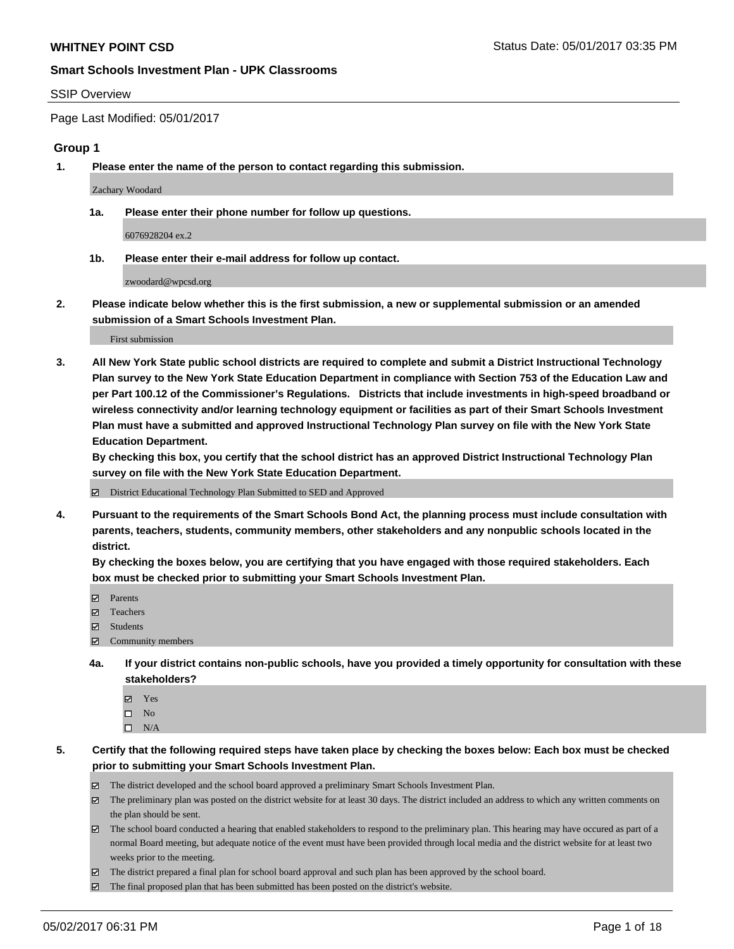#### SSIP Overview

Page Last Modified: 05/01/2017

#### **Group 1**

**1. Please enter the name of the person to contact regarding this submission.**

Zachary Woodard

**1a. Please enter their phone number for follow up questions.**

6076928204 ex.2

**1b. Please enter their e-mail address for follow up contact.**

zwoodard@wpcsd.org

**2. Please indicate below whether this is the first submission, a new or supplemental submission or an amended submission of a Smart Schools Investment Plan.**

First submission

**3. All New York State public school districts are required to complete and submit a District Instructional Technology Plan survey to the New York State Education Department in compliance with Section 753 of the Education Law and per Part 100.12 of the Commissioner's Regulations. Districts that include investments in high-speed broadband or wireless connectivity and/or learning technology equipment or facilities as part of their Smart Schools Investment Plan must have a submitted and approved Instructional Technology Plan survey on file with the New York State Education Department.** 

**By checking this box, you certify that the school district has an approved District Instructional Technology Plan survey on file with the New York State Education Department.**

District Educational Technology Plan Submitted to SED and Approved

**4. Pursuant to the requirements of the Smart Schools Bond Act, the planning process must include consultation with parents, teachers, students, community members, other stakeholders and any nonpublic schools located in the district.** 

**By checking the boxes below, you are certifying that you have engaged with those required stakeholders. Each box must be checked prior to submitting your Smart Schools Investment Plan.**

- **マ** Parents
- □ Teachers
- Students
- $\Xi$  Community members
- **4a. If your district contains non-public schools, have you provided a timely opportunity for consultation with these stakeholders?**
	- Yes
	- $\hfill \square$  No
	- $\square$  N/A
- **5. Certify that the following required steps have taken place by checking the boxes below: Each box must be checked prior to submitting your Smart Schools Investment Plan.**
	- The district developed and the school board approved a preliminary Smart Schools Investment Plan.
	- $\boxtimes$  The preliminary plan was posted on the district website for at least 30 days. The district included an address to which any written comments on the plan should be sent.
	- $\boxtimes$  The school board conducted a hearing that enabled stakeholders to respond to the preliminary plan. This hearing may have occured as part of a normal Board meeting, but adequate notice of the event must have been provided through local media and the district website for at least two weeks prior to the meeting.
	- The district prepared a final plan for school board approval and such plan has been approved by the school board.
	- $\boxtimes$  The final proposed plan that has been submitted has been posted on the district's website.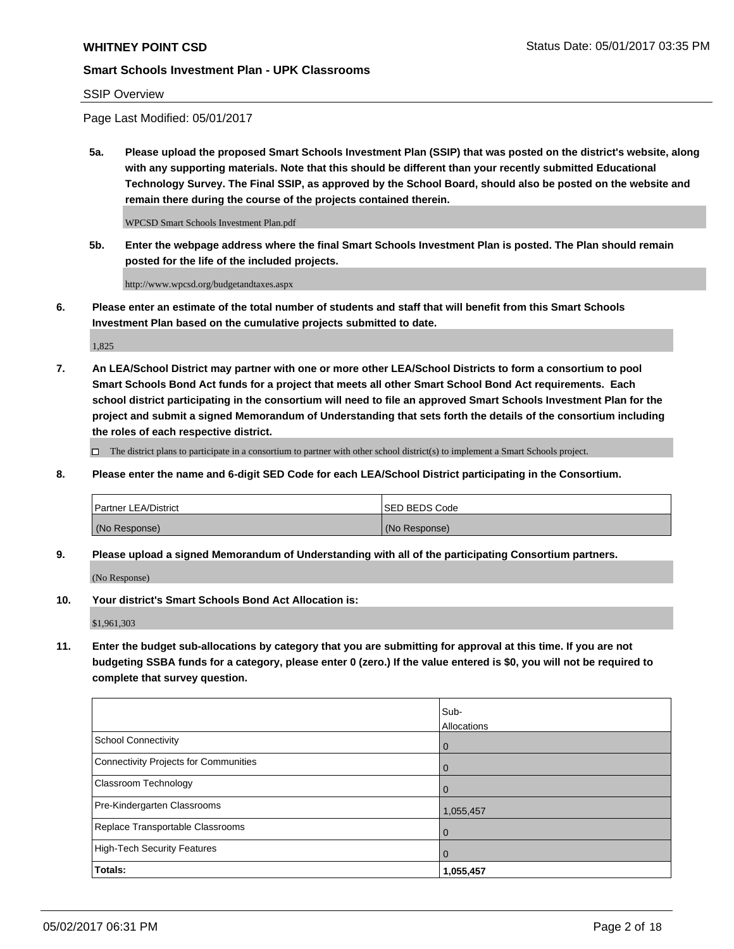#### SSIP Overview

Page Last Modified: 05/01/2017

**5a. Please upload the proposed Smart Schools Investment Plan (SSIP) that was posted on the district's website, along with any supporting materials. Note that this should be different than your recently submitted Educational Technology Survey. The Final SSIP, as approved by the School Board, should also be posted on the website and remain there during the course of the projects contained therein.**

WPCSD Smart Schools Investment Plan.pdf

**5b. Enter the webpage address where the final Smart Schools Investment Plan is posted. The Plan should remain posted for the life of the included projects.**

http://www.wpcsd.org/budgetandtaxes.aspx

**6. Please enter an estimate of the total number of students and staff that will benefit from this Smart Schools Investment Plan based on the cumulative projects submitted to date.**

1,825

**7. An LEA/School District may partner with one or more other LEA/School Districts to form a consortium to pool Smart Schools Bond Act funds for a project that meets all other Smart School Bond Act requirements. Each school district participating in the consortium will need to file an approved Smart Schools Investment Plan for the project and submit a signed Memorandum of Understanding that sets forth the details of the consortium including the roles of each respective district.**

 $\Box$  The district plans to participate in a consortium to partner with other school district(s) to implement a Smart Schools project.

**8. Please enter the name and 6-digit SED Code for each LEA/School District participating in the Consortium.**

| <b>Partner LEA/District</b> | <b>ISED BEDS Code</b> |
|-----------------------------|-----------------------|
| (No Response)               | (No Response)         |

**9. Please upload a signed Memorandum of Understanding with all of the participating Consortium partners.**

(No Response)

**10. Your district's Smart Schools Bond Act Allocation is:**

\$1,961,303

**11. Enter the budget sub-allocations by category that you are submitting for approval at this time. If you are not budgeting SSBA funds for a category, please enter 0 (zero.) If the value entered is \$0, you will not be required to complete that survey question.**

|                                              | Sub-<br>Allocations |
|----------------------------------------------|---------------------|
| <b>School Connectivity</b>                   | $\overline{0}$      |
| <b>Connectivity Projects for Communities</b> | $\overline{0}$      |
| Classroom Technology                         | $\overline{0}$      |
| Pre-Kindergarten Classrooms                  | 1,055,457           |
| Replace Transportable Classrooms             | $\mathbf 0$         |
| <b>High-Tech Security Features</b>           | $\overline{0}$      |
| Totals:                                      | 1,055,457           |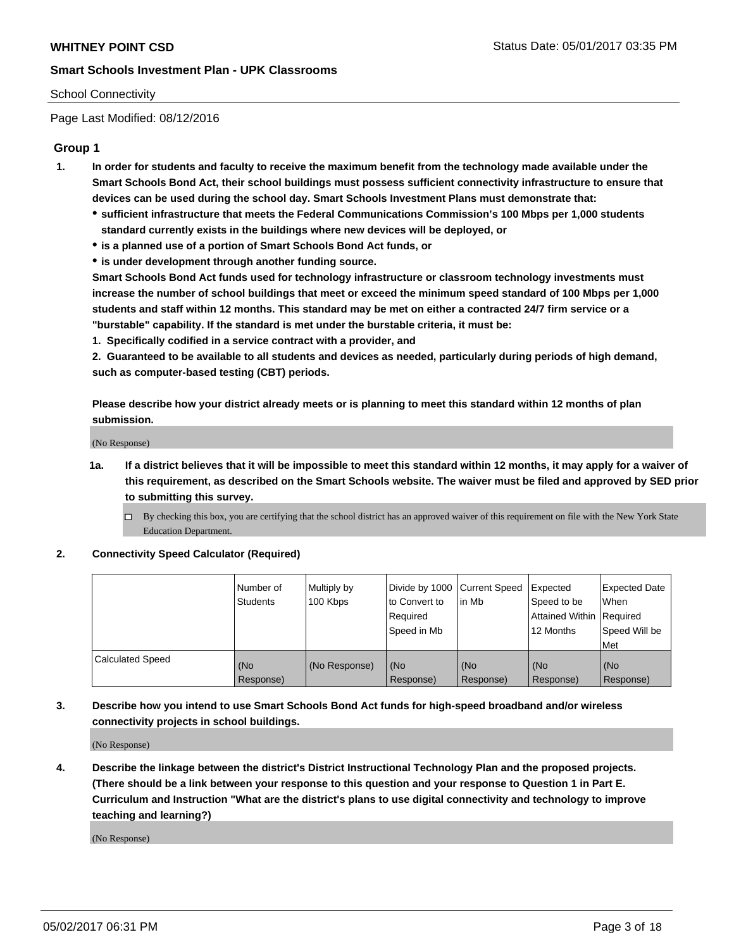#### School Connectivity

Page Last Modified: 08/12/2016

## **Group 1**

- **1. In order for students and faculty to receive the maximum benefit from the technology made available under the Smart Schools Bond Act, their school buildings must possess sufficient connectivity infrastructure to ensure that devices can be used during the school day. Smart Schools Investment Plans must demonstrate that:**
	- **sufficient infrastructure that meets the Federal Communications Commission's 100 Mbps per 1,000 students standard currently exists in the buildings where new devices will be deployed, or**
	- **is a planned use of a portion of Smart Schools Bond Act funds, or**
	- **is under development through another funding source.**

**Smart Schools Bond Act funds used for technology infrastructure or classroom technology investments must increase the number of school buildings that meet or exceed the minimum speed standard of 100 Mbps per 1,000 students and staff within 12 months. This standard may be met on either a contracted 24/7 firm service or a "burstable" capability. If the standard is met under the burstable criteria, it must be:**

**1. Specifically codified in a service contract with a provider, and**

**2. Guaranteed to be available to all students and devices as needed, particularly during periods of high demand, such as computer-based testing (CBT) periods.**

**Please describe how your district already meets or is planning to meet this standard within 12 months of plan submission.**

(No Response)

- **1a. If a district believes that it will be impossible to meet this standard within 12 months, it may apply for a waiver of this requirement, as described on the Smart Schools website. The waiver must be filed and approved by SED prior to submitting this survey.**
	- By checking this box, you are certifying that the school district has an approved waiver of this requirement on file with the New York State Education Department.

#### **2. Connectivity Speed Calculator (Required)**

|                         | l Number of<br><b>Students</b> | Multiply by<br>100 Kbps | Divide by 1000 Current Speed<br>to Convert to<br>Required<br>l Speed in Mb | lin Mb           | Expected<br>Speed to be<br>Attained Within Required<br>12 Months | Expected Date<br>When<br>Speed Will be<br><b>Met</b> |
|-------------------------|--------------------------------|-------------------------|----------------------------------------------------------------------------|------------------|------------------------------------------------------------------|------------------------------------------------------|
| <b>Calculated Speed</b> | (No<br>Response)               | (No Response)           | (No<br>Response)                                                           | (No<br>Response) | (No<br>Response)                                                 | l (No<br>Response)                                   |

## **3. Describe how you intend to use Smart Schools Bond Act funds for high-speed broadband and/or wireless connectivity projects in school buildings.**

(No Response)

**4. Describe the linkage between the district's District Instructional Technology Plan and the proposed projects. (There should be a link between your response to this question and your response to Question 1 in Part E. Curriculum and Instruction "What are the district's plans to use digital connectivity and technology to improve teaching and learning?)**

(No Response)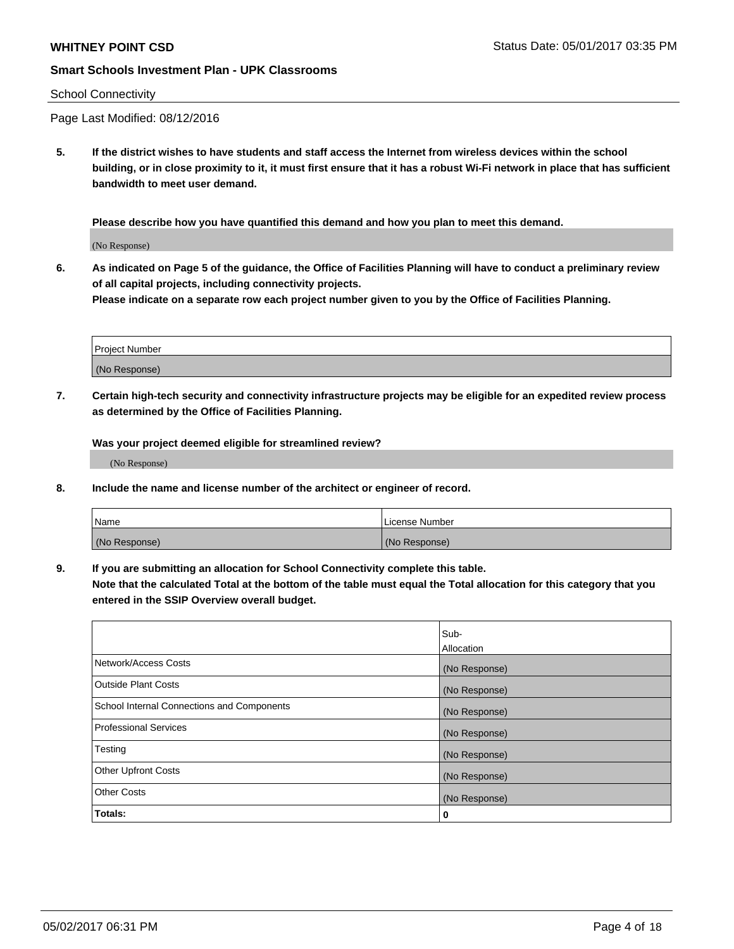#### School Connectivity

Page Last Modified: 08/12/2016

**5. If the district wishes to have students and staff access the Internet from wireless devices within the school building, or in close proximity to it, it must first ensure that it has a robust Wi-Fi network in place that has sufficient bandwidth to meet user demand.**

**Please describe how you have quantified this demand and how you plan to meet this demand.**

(No Response)

**6. As indicated on Page 5 of the guidance, the Office of Facilities Planning will have to conduct a preliminary review of all capital projects, including connectivity projects.**

**Please indicate on a separate row each project number given to you by the Office of Facilities Planning.**

| Project Number |  |
|----------------|--|
|                |  |
| (No Response)  |  |

**7. Certain high-tech security and connectivity infrastructure projects may be eligible for an expedited review process as determined by the Office of Facilities Planning.**

**Was your project deemed eligible for streamlined review?**

(No Response)

**8. Include the name and license number of the architect or engineer of record.**

| Name          | License Number |
|---------------|----------------|
| (No Response) | (No Response)  |

**9. If you are submitting an allocation for School Connectivity complete this table.**

**Note that the calculated Total at the bottom of the table must equal the Total allocation for this category that you entered in the SSIP Overview overall budget.** 

|                                            | Sub-          |
|--------------------------------------------|---------------|
|                                            | Allocation    |
| Network/Access Costs                       | (No Response) |
| Outside Plant Costs                        | (No Response) |
| School Internal Connections and Components | (No Response) |
| <b>Professional Services</b>               | (No Response) |
| Testing                                    | (No Response) |
| <b>Other Upfront Costs</b>                 | (No Response) |
| <b>Other Costs</b>                         | (No Response) |
| Totals:                                    | 0             |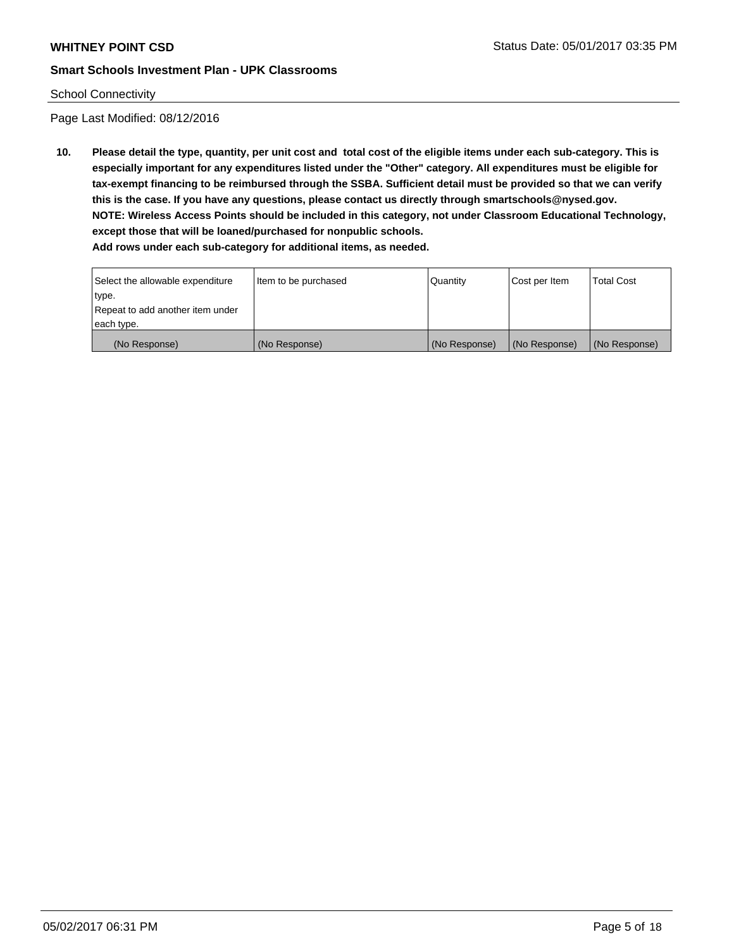#### School Connectivity

Page Last Modified: 08/12/2016

**10. Please detail the type, quantity, per unit cost and total cost of the eligible items under each sub-category. This is especially important for any expenditures listed under the "Other" category. All expenditures must be eligible for tax-exempt financing to be reimbursed through the SSBA. Sufficient detail must be provided so that we can verify this is the case. If you have any questions, please contact us directly through smartschools@nysed.gov. NOTE: Wireless Access Points should be included in this category, not under Classroom Educational Technology, except those that will be loaned/purchased for nonpublic schools.**

| Select the allowable expenditure | Item to be purchased | Quantity      | Cost per Item | Total Cost    |
|----------------------------------|----------------------|---------------|---------------|---------------|
| type.                            |                      |               |               |               |
| Repeat to add another item under |                      |               |               |               |
| each type.                       |                      |               |               |               |
| (No Response)                    | (No Response)        | (No Response) | (No Response) | (No Response) |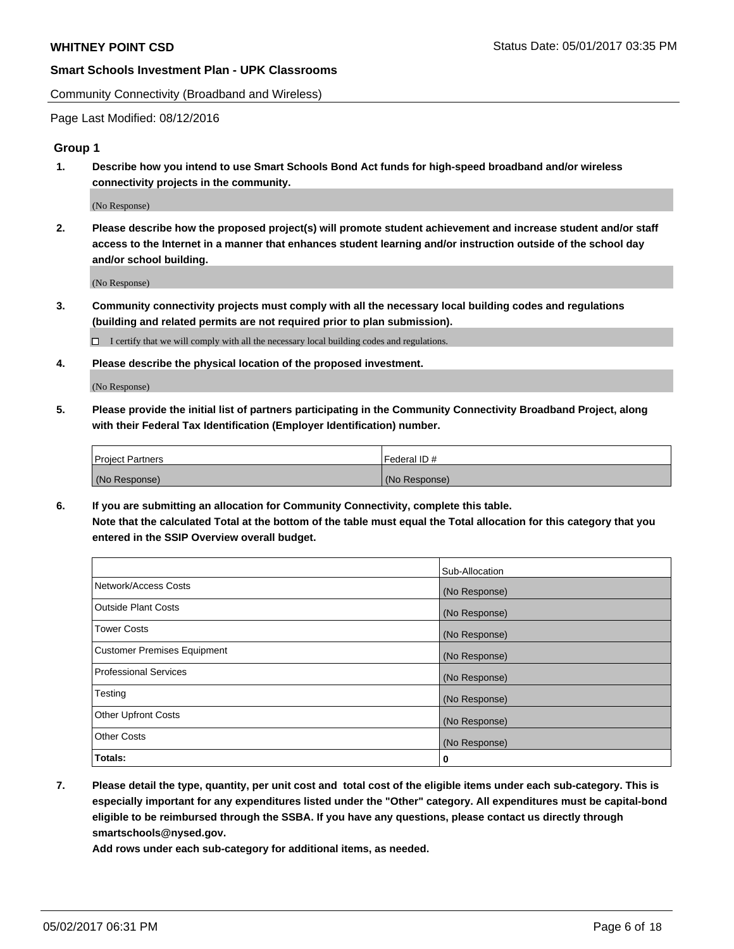Community Connectivity (Broadband and Wireless)

Page Last Modified: 08/12/2016

### **Group 1**

**1. Describe how you intend to use Smart Schools Bond Act funds for high-speed broadband and/or wireless connectivity projects in the community.**

(No Response)

**2. Please describe how the proposed project(s) will promote student achievement and increase student and/or staff access to the Internet in a manner that enhances student learning and/or instruction outside of the school day and/or school building.**

(No Response)

**3. Community connectivity projects must comply with all the necessary local building codes and regulations (building and related permits are not required prior to plan submission).**

 $\Box$  I certify that we will comply with all the necessary local building codes and regulations.

**4. Please describe the physical location of the proposed investment.**

(No Response)

**5. Please provide the initial list of partners participating in the Community Connectivity Broadband Project, along with their Federal Tax Identification (Employer Identification) number.**

| <b>Project Partners</b> | Federal ID#     |
|-------------------------|-----------------|
| (No Response)           | l (No Response) |

**6. If you are submitting an allocation for Community Connectivity, complete this table. Note that the calculated Total at the bottom of the table must equal the Total allocation for this category that you entered in the SSIP Overview overall budget.**

|                                    | Sub-Allocation |
|------------------------------------|----------------|
| Network/Access Costs               | (No Response)  |
| Outside Plant Costs                | (No Response)  |
| <b>Tower Costs</b>                 | (No Response)  |
| <b>Customer Premises Equipment</b> | (No Response)  |
| <b>Professional Services</b>       | (No Response)  |
| Testing                            | (No Response)  |
| <b>Other Upfront Costs</b>         | (No Response)  |
| <b>Other Costs</b>                 | (No Response)  |
| Totals:                            | 0              |

**7. Please detail the type, quantity, per unit cost and total cost of the eligible items under each sub-category. This is especially important for any expenditures listed under the "Other" category. All expenditures must be capital-bond eligible to be reimbursed through the SSBA. If you have any questions, please contact us directly through smartschools@nysed.gov.**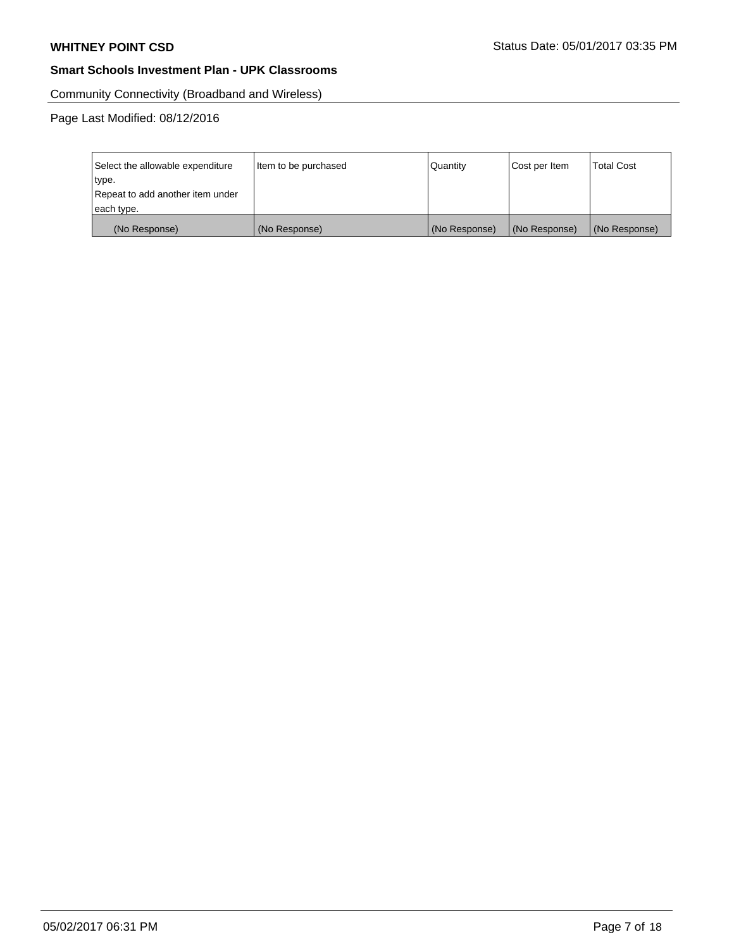Community Connectivity (Broadband and Wireless)

Page Last Modified: 08/12/2016

| Select the allowable expenditure | Item to be purchased | Quantity      | Cost per Item | <b>Total Cost</b> |
|----------------------------------|----------------------|---------------|---------------|-------------------|
| type.                            |                      |               |               |                   |
| Repeat to add another item under |                      |               |               |                   |
| each type.                       |                      |               |               |                   |
| (No Response)                    | (No Response)        | (No Response) | (No Response) | (No Response)     |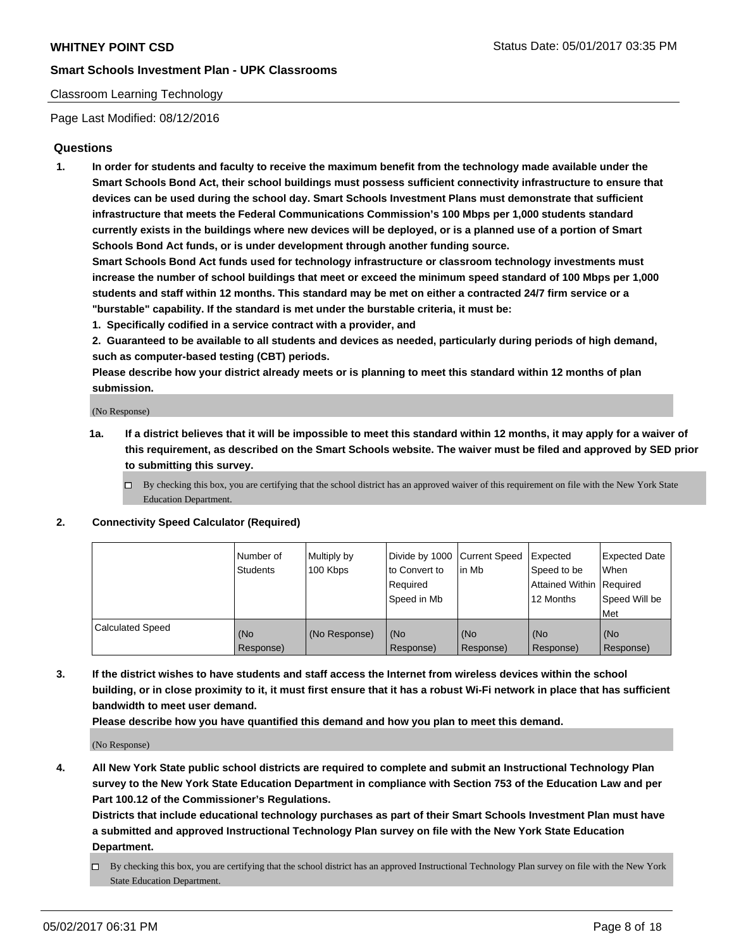### Classroom Learning Technology

Page Last Modified: 08/12/2016

### **Questions**

**1. In order for students and faculty to receive the maximum benefit from the technology made available under the Smart Schools Bond Act, their school buildings must possess sufficient connectivity infrastructure to ensure that devices can be used during the school day. Smart Schools Investment Plans must demonstrate that sufficient infrastructure that meets the Federal Communications Commission's 100 Mbps per 1,000 students standard currently exists in the buildings where new devices will be deployed, or is a planned use of a portion of Smart Schools Bond Act funds, or is under development through another funding source.**

**Smart Schools Bond Act funds used for technology infrastructure or classroom technology investments must increase the number of school buildings that meet or exceed the minimum speed standard of 100 Mbps per 1,000 students and staff within 12 months. This standard may be met on either a contracted 24/7 firm service or a "burstable" capability. If the standard is met under the burstable criteria, it must be:**

- **1. Specifically codified in a service contract with a provider, and**
- **2. Guaranteed to be available to all students and devices as needed, particularly during periods of high demand, such as computer-based testing (CBT) periods.**

**Please describe how your district already meets or is planning to meet this standard within 12 months of plan submission.**

(No Response)

- **1a. If a district believes that it will be impossible to meet this standard within 12 months, it may apply for a waiver of this requirement, as described on the Smart Schools website. The waiver must be filed and approved by SED prior to submitting this survey.**
	- $\Box$  By checking this box, you are certifying that the school district has an approved waiver of this requirement on file with the New York State Education Department.

#### **2. Connectivity Speed Calculator (Required)**

|                         | l Number of<br>Students | Multiply by<br>100 Kbps | Divide by 1000   Current Speed<br>to Convert to<br>Required<br>Speed in Mb | l in Mb          | Expected<br>Speed to be<br>Attained Within Required<br>12 Months | <b>Expected Date</b><br>When<br>Speed Will be<br>Met |
|-------------------------|-------------------------|-------------------------|----------------------------------------------------------------------------|------------------|------------------------------------------------------------------|------------------------------------------------------|
| <b>Calculated Speed</b> | (No<br>Response)        | (No Response)           | (No<br>Response)                                                           | (No<br>Response) | (No<br>Response)                                                 | (No<br>Response)                                     |

**3. If the district wishes to have students and staff access the Internet from wireless devices within the school building, or in close proximity to it, it must first ensure that it has a robust Wi-Fi network in place that has sufficient bandwidth to meet user demand.**

**Please describe how you have quantified this demand and how you plan to meet this demand.**

(No Response)

**4. All New York State public school districts are required to complete and submit an Instructional Technology Plan survey to the New York State Education Department in compliance with Section 753 of the Education Law and per Part 100.12 of the Commissioner's Regulations.**

**Districts that include educational technology purchases as part of their Smart Schools Investment Plan must have a submitted and approved Instructional Technology Plan survey on file with the New York State Education Department.**

 $\Box$  By checking this box, you are certifying that the school district has an approved Instructional Technology Plan survey on file with the New York State Education Department.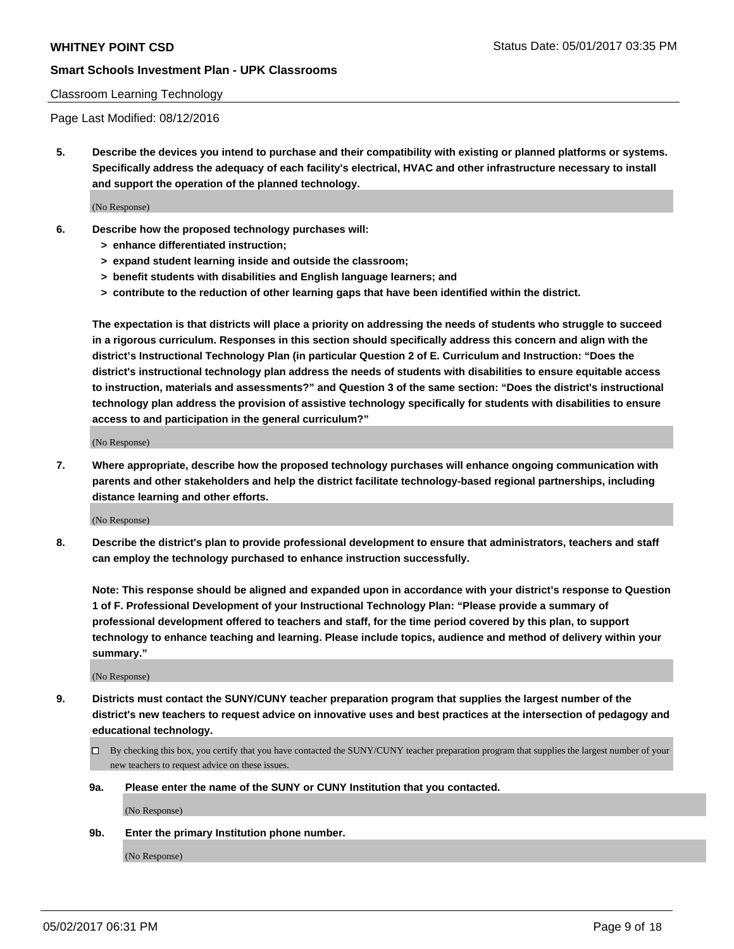#### Classroom Learning Technology

Page Last Modified: 08/12/2016

**5. Describe the devices you intend to purchase and their compatibility with existing or planned platforms or systems. Specifically address the adequacy of each facility's electrical, HVAC and other infrastructure necessary to install and support the operation of the planned technology.**

(No Response)

- **6. Describe how the proposed technology purchases will:**
	- **> enhance differentiated instruction;**
	- **> expand student learning inside and outside the classroom;**
	- **> benefit students with disabilities and English language learners; and**
	- **> contribute to the reduction of other learning gaps that have been identified within the district.**

**The expectation is that districts will place a priority on addressing the needs of students who struggle to succeed in a rigorous curriculum. Responses in this section should specifically address this concern and align with the district's Instructional Technology Plan (in particular Question 2 of E. Curriculum and Instruction: "Does the district's instructional technology plan address the needs of students with disabilities to ensure equitable access to instruction, materials and assessments?" and Question 3 of the same section: "Does the district's instructional technology plan address the provision of assistive technology specifically for students with disabilities to ensure access to and participation in the general curriculum?"**

(No Response)

**7. Where appropriate, describe how the proposed technology purchases will enhance ongoing communication with parents and other stakeholders and help the district facilitate technology-based regional partnerships, including distance learning and other efforts.**

(No Response)

**8. Describe the district's plan to provide professional development to ensure that administrators, teachers and staff can employ the technology purchased to enhance instruction successfully.**

**Note: This response should be aligned and expanded upon in accordance with your district's response to Question 1 of F. Professional Development of your Instructional Technology Plan: "Please provide a summary of professional development offered to teachers and staff, for the time period covered by this plan, to support technology to enhance teaching and learning. Please include topics, audience and method of delivery within your summary."**

(No Response)

- **9. Districts must contact the SUNY/CUNY teacher preparation program that supplies the largest number of the district's new teachers to request advice on innovative uses and best practices at the intersection of pedagogy and educational technology.**
	- By checking this box, you certify that you have contacted the SUNY/CUNY teacher preparation program that supplies the largest number of your new teachers to request advice on these issues.
	- **9a. Please enter the name of the SUNY or CUNY Institution that you contacted.**

(No Response)

**9b. Enter the primary Institution phone number.**

(No Response)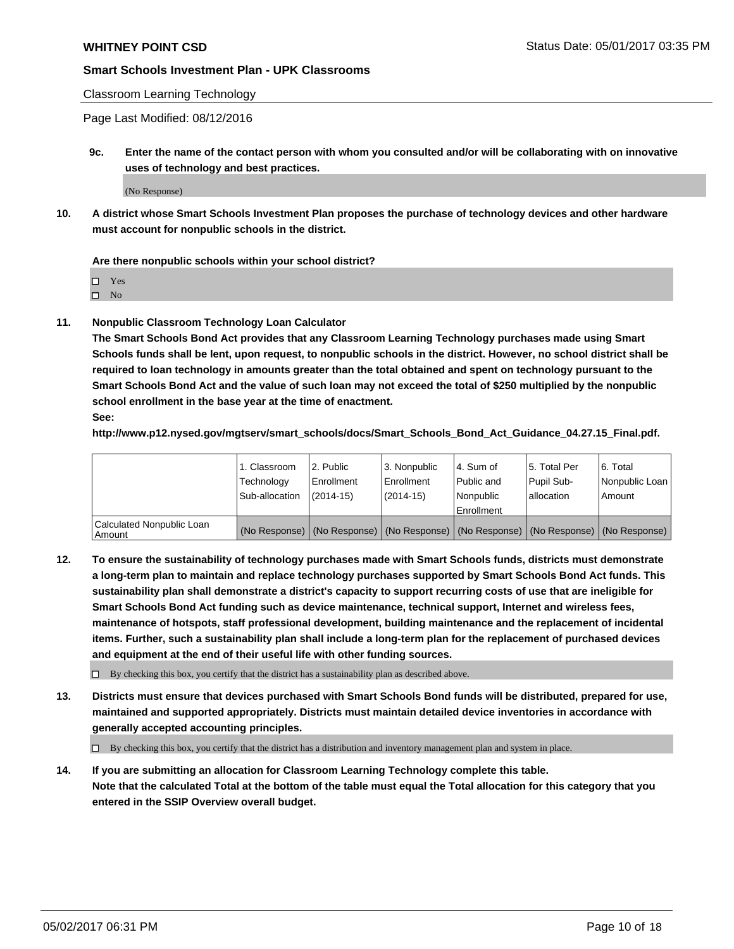#### Classroom Learning Technology

Page Last Modified: 08/12/2016

**9c. Enter the name of the contact person with whom you consulted and/or will be collaborating with on innovative uses of technology and best practices.**

(No Response)

**10. A district whose Smart Schools Investment Plan proposes the purchase of technology devices and other hardware must account for nonpublic schools in the district.**

**Are there nonpublic schools within your school district?**

Yes

 $\square$  No

**11. Nonpublic Classroom Technology Loan Calculator**

**The Smart Schools Bond Act provides that any Classroom Learning Technology purchases made using Smart Schools funds shall be lent, upon request, to nonpublic schools in the district. However, no school district shall be required to loan technology in amounts greater than the total obtained and spent on technology pursuant to the Smart Schools Bond Act and the value of such loan may not exceed the total of \$250 multiplied by the nonpublic school enrollment in the base year at the time of enactment.**

**See:**

**http://www.p12.nysed.gov/mgtserv/smart\_schools/docs/Smart\_Schools\_Bond\_Act\_Guidance\_04.27.15\_Final.pdf.**

|                                       | 1. Classroom   | l 2. Public   | 3. Nonpublic | l 4. Sum of | 15. Total Per                                                                                 | 6. Total       |
|---------------------------------------|----------------|---------------|--------------|-------------|-----------------------------------------------------------------------------------------------|----------------|
|                                       | Technology     | Enrollment    | Enrollment   | Public and  | Pupil Sub-                                                                                    | Nonpublic Loan |
|                                       | Sub-allocation | $(2014 - 15)$ | $(2014-15)$  | l Nonpublic | allocation                                                                                    | Amount         |
|                                       |                |               |              | Enrollment  |                                                                                               |                |
| Calculated Nonpublic Loan<br>  Amount |                |               |              |             | (No Response)   (No Response)   (No Response)   (No Response)   (No Response)   (No Response) |                |

**12. To ensure the sustainability of technology purchases made with Smart Schools funds, districts must demonstrate a long-term plan to maintain and replace technology purchases supported by Smart Schools Bond Act funds. This sustainability plan shall demonstrate a district's capacity to support recurring costs of use that are ineligible for Smart Schools Bond Act funding such as device maintenance, technical support, Internet and wireless fees, maintenance of hotspots, staff professional development, building maintenance and the replacement of incidental items. Further, such a sustainability plan shall include a long-term plan for the replacement of purchased devices and equipment at the end of their useful life with other funding sources.**

 $\Box$  By checking this box, you certify that the district has a sustainability plan as described above.

**13. Districts must ensure that devices purchased with Smart Schools Bond funds will be distributed, prepared for use, maintained and supported appropriately. Districts must maintain detailed device inventories in accordance with generally accepted accounting principles.**

By checking this box, you certify that the district has a distribution and inventory management plan and system in place.

**14. If you are submitting an allocation for Classroom Learning Technology complete this table. Note that the calculated Total at the bottom of the table must equal the Total allocation for this category that you entered in the SSIP Overview overall budget.**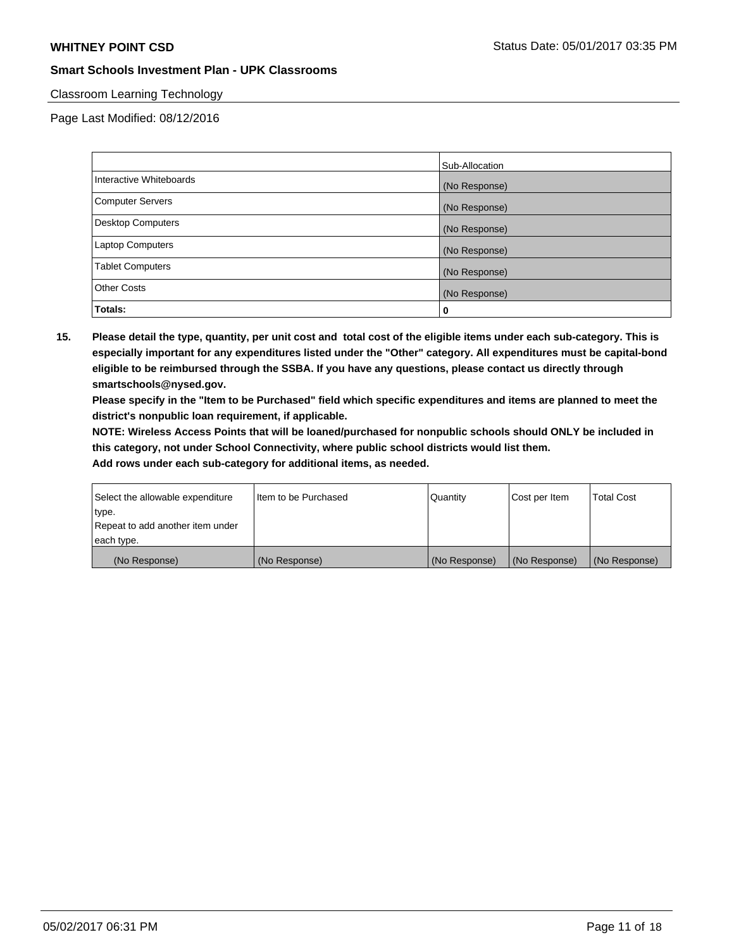## Classroom Learning Technology

Page Last Modified: 08/12/2016

|                          | Sub-Allocation |
|--------------------------|----------------|
| Interactive Whiteboards  | (No Response)  |
| Computer Servers         | (No Response)  |
| <b>Desktop Computers</b> | (No Response)  |
| <b>Laptop Computers</b>  | (No Response)  |
| <b>Tablet Computers</b>  | (No Response)  |
| <b>Other Costs</b>       | (No Response)  |
| Totals:                  | 0              |

**15. Please detail the type, quantity, per unit cost and total cost of the eligible items under each sub-category. This is especially important for any expenditures listed under the "Other" category. All expenditures must be capital-bond eligible to be reimbursed through the SSBA. If you have any questions, please contact us directly through smartschools@nysed.gov.**

**Please specify in the "Item to be Purchased" field which specific expenditures and items are planned to meet the district's nonpublic loan requirement, if applicable.**

**NOTE: Wireless Access Points that will be loaned/purchased for nonpublic schools should ONLY be included in this category, not under School Connectivity, where public school districts would list them.**

| Select the allowable expenditure<br>∣type. | Iltem to be Purchased | Quantity      | Cost per Item | <b>Total Cost</b> |
|--------------------------------------------|-----------------------|---------------|---------------|-------------------|
| Repeat to add another item under           |                       |               |               |                   |
| each type.                                 |                       |               |               |                   |
| (No Response)                              | (No Response)         | (No Response) | (No Response) | (No Response)     |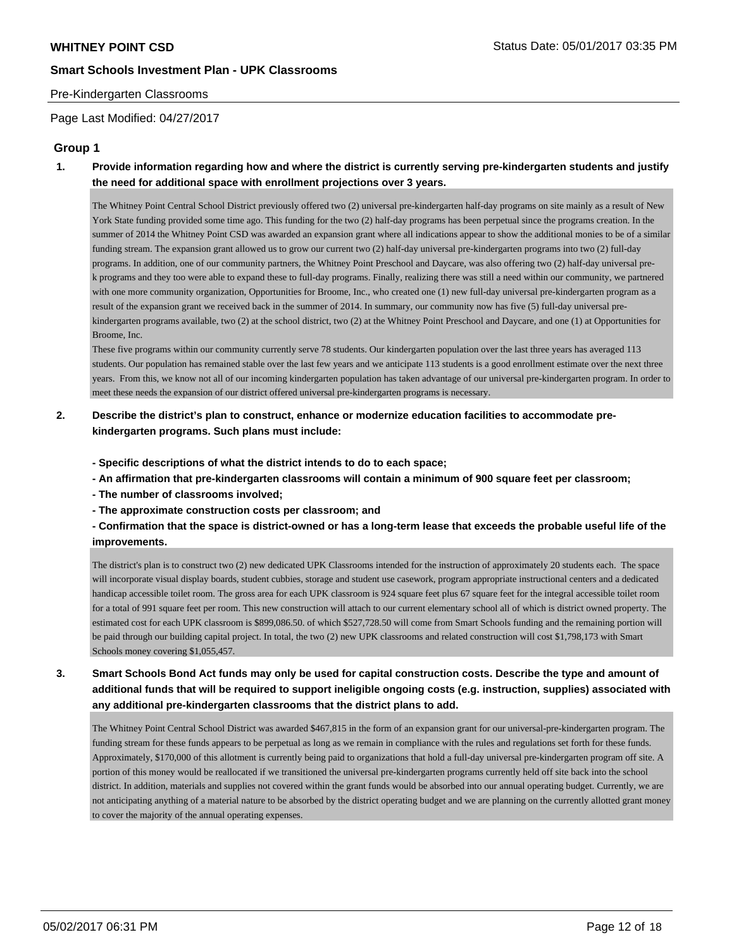## Pre-Kindergarten Classrooms

Page Last Modified: 04/27/2017

## **Group 1**

**1. Provide information regarding how and where the district is currently serving pre-kindergarten students and justify the need for additional space with enrollment projections over 3 years.**

The Whitney Point Central School District previously offered two (2) universal pre-kindergarten half-day programs on site mainly as a result of New York State funding provided some time ago. This funding for the two (2) half-day programs has been perpetual since the programs creation. In the summer of 2014 the Whitney Point CSD was awarded an expansion grant where all indications appear to show the additional monies to be of a similar funding stream. The expansion grant allowed us to grow our current two (2) half-day universal pre-kindergarten programs into two (2) full-day programs. In addition, one of our community partners, the Whitney Point Preschool and Daycare, was also offering two (2) half-day universal prek programs and they too were able to expand these to full-day programs. Finally, realizing there was still a need within our community, we partnered with one more community organization, Opportunities for Broome, Inc., who created one (1) new full-day universal pre-kindergarten program as a result of the expansion grant we received back in the summer of 2014. In summary, our community now has five (5) full-day universal prekindergarten programs available, two (2) at the school district, two (2) at the Whitney Point Preschool and Daycare, and one (1) at Opportunities for Broome, Inc.

These five programs within our community currently serve 78 students. Our kindergarten population over the last three years has averaged 113 students. Our population has remained stable over the last few years and we anticipate 113 students is a good enrollment estimate over the next three years. From this, we know not all of our incoming kindergarten population has taken advantage of our universal pre-kindergarten program. In order to meet these needs the expansion of our district offered universal pre-kindergarten programs is necessary.

- **2. Describe the district's plan to construct, enhance or modernize education facilities to accommodate prekindergarten programs. Such plans must include:**
	- **Specific descriptions of what the district intends to do to each space;**
	- **An affirmation that pre-kindergarten classrooms will contain a minimum of 900 square feet per classroom;**
	- **The number of classrooms involved;**
	- **The approximate construction costs per classroom; and**

**- Confirmation that the space is district-owned or has a long-term lease that exceeds the probable useful life of the improvements.**

The district's plan is to construct two (2) new dedicated UPK Classrooms intended for the instruction of approximately 20 students each. The space will incorporate visual display boards, student cubbies, storage and student use casework, program appropriate instructional centers and a dedicated handicap accessible toilet room. The gross area for each UPK classroom is 924 square feet plus 67 square feet for the integral accessible toilet room for a total of 991 square feet per room. This new construction will attach to our current elementary school all of which is district owned property. The estimated cost for each UPK classroom is \$899,086.50. of which \$527,728.50 will come from Smart Schools funding and the remaining portion will be paid through our building capital project. In total, the two (2) new UPK classrooms and related construction will cost \$1,798,173 with Smart Schools money covering \$1,055,457.

**3. Smart Schools Bond Act funds may only be used for capital construction costs. Describe the type and amount of additional funds that will be required to support ineligible ongoing costs (e.g. instruction, supplies) associated with any additional pre-kindergarten classrooms that the district plans to add.**

The Whitney Point Central School District was awarded \$467,815 in the form of an expansion grant for our universal-pre-kindergarten program. The funding stream for these funds appears to be perpetual as long as we remain in compliance with the rules and regulations set forth for these funds. Approximately, \$170,000 of this allotment is currently being paid to organizations that hold a full-day universal pre-kindergarten program off site. A portion of this money would be reallocated if we transitioned the universal pre-kindergarten programs currently held off site back into the school district. In addition, materials and supplies not covered within the grant funds would be absorbed into our annual operating budget. Currently, we are not anticipating anything of a material nature to be absorbed by the district operating budget and we are planning on the currently allotted grant money to cover the majority of the annual operating expenses.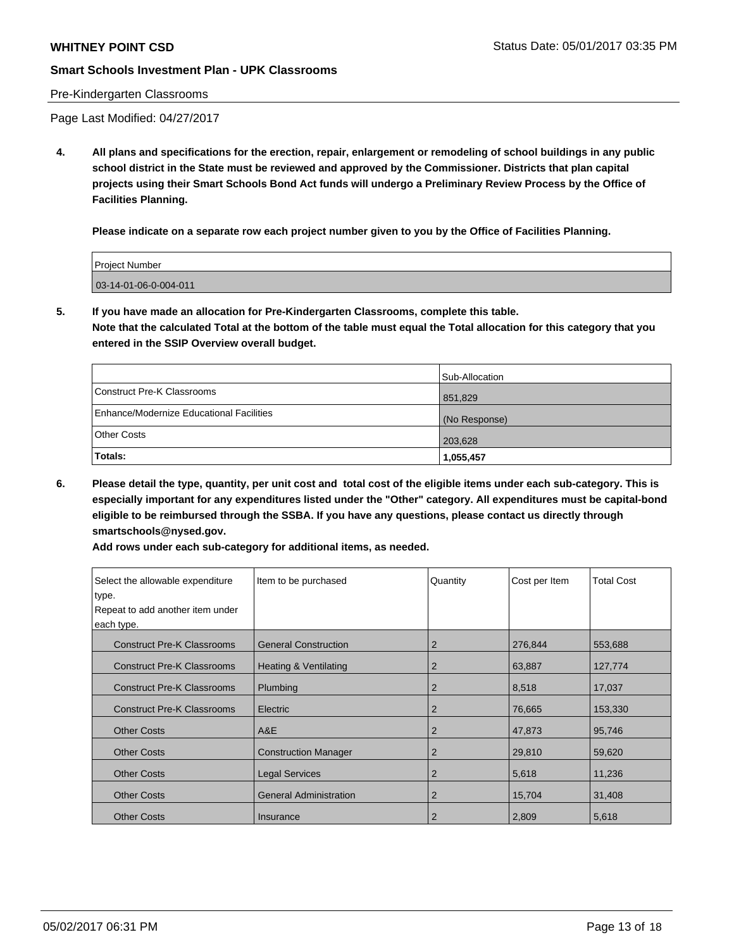#### Pre-Kindergarten Classrooms

Page Last Modified: 04/27/2017

**4. All plans and specifications for the erection, repair, enlargement or remodeling of school buildings in any public school district in the State must be reviewed and approved by the Commissioner. Districts that plan capital projects using their Smart Schools Bond Act funds will undergo a Preliminary Review Process by the Office of Facilities Planning.**

**Please indicate on a separate row each project number given to you by the Office of Facilities Planning.**

| <b>Project Number</b> |  |
|-----------------------|--|
| 03-14-01-06-0-004-011 |  |

**5. If you have made an allocation for Pre-Kindergarten Classrooms, complete this table.**

**Note that the calculated Total at the bottom of the table must equal the Total allocation for this category that you entered in the SSIP Overview overall budget.**

|                                          | Sub-Allocation |
|------------------------------------------|----------------|
| Construct Pre-K Classrooms               | 851,829        |
| Enhance/Modernize Educational Facilities | (No Response)  |
| <b>Other Costs</b>                       | 203,628        |
| Totals:                                  | 1,055,457      |

**6. Please detail the type, quantity, per unit cost and total cost of the eligible items under each sub-category. This is especially important for any expenditures listed under the "Other" category. All expenditures must be capital-bond eligible to be reimbursed through the SSBA. If you have any questions, please contact us directly through smartschools@nysed.gov.**

| Select the allowable expenditure  | Item to be purchased             | Quantity | Cost per Item | <b>Total Cost</b> |
|-----------------------------------|----------------------------------|----------|---------------|-------------------|
| type.                             |                                  |          |               |                   |
| Repeat to add another item under  |                                  |          |               |                   |
| each type.                        |                                  |          |               |                   |
| <b>Construct Pre-K Classrooms</b> | <b>General Construction</b>      | 2        | 276,844       | 553,688           |
| <b>Construct Pre-K Classrooms</b> | <b>Heating &amp; Ventilating</b> | 2        | 63,887        | 127,774           |
| <b>Construct Pre-K Classrooms</b> | Plumbing                         | 2        | 8,518         | 17,037            |
| <b>Construct Pre-K Classrooms</b> | Electric                         | 2        | 76,665        | 153,330           |
| <b>Other Costs</b>                | A&E                              | 2        | 47,873        | 95,746            |
| <b>Other Costs</b>                | <b>Construction Manager</b>      | 2        | 29,810        | 59,620            |
| <b>Other Costs</b>                | <b>Legal Services</b>            | 2        | 5,618         | 11,236            |
| <b>Other Costs</b>                | <b>General Administration</b>    | 2        | 15,704        | 31,408            |
| <b>Other Costs</b>                | Insurance                        | 2        | 2,809         | 5,618             |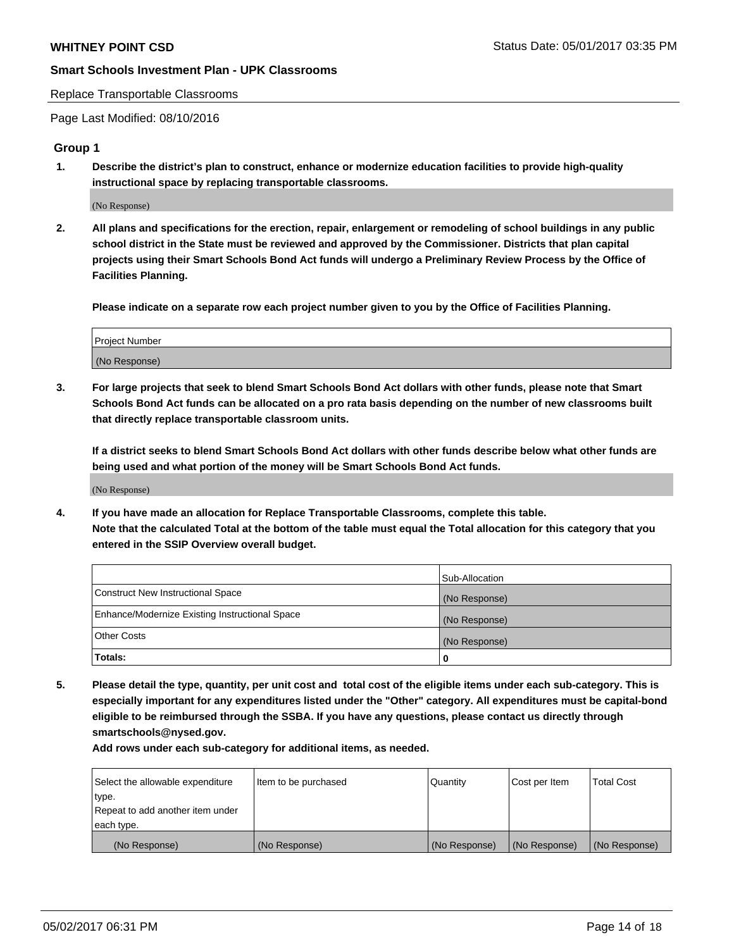#### Replace Transportable Classrooms

Page Last Modified: 08/10/2016

### **Group 1**

**1. Describe the district's plan to construct, enhance or modernize education facilities to provide high-quality instructional space by replacing transportable classrooms.**

(No Response)

**2. All plans and specifications for the erection, repair, enlargement or remodeling of school buildings in any public school district in the State must be reviewed and approved by the Commissioner. Districts that plan capital projects using their Smart Schools Bond Act funds will undergo a Preliminary Review Process by the Office of Facilities Planning.**

**Please indicate on a separate row each project number given to you by the Office of Facilities Planning.**

| Project Number |  |
|----------------|--|
| (No Response)  |  |

**3. For large projects that seek to blend Smart Schools Bond Act dollars with other funds, please note that Smart Schools Bond Act funds can be allocated on a pro rata basis depending on the number of new classrooms built that directly replace transportable classroom units.**

**If a district seeks to blend Smart Schools Bond Act dollars with other funds describe below what other funds are being used and what portion of the money will be Smart Schools Bond Act funds.**

(No Response)

**4. If you have made an allocation for Replace Transportable Classrooms, complete this table. Note that the calculated Total at the bottom of the table must equal the Total allocation for this category that you entered in the SSIP Overview overall budget.**

|                                                | Sub-Allocation |
|------------------------------------------------|----------------|
| Construct New Instructional Space              | (No Response)  |
| Enhance/Modernize Existing Instructional Space | (No Response)  |
| Other Costs                                    | (No Response)  |
| Totals:                                        | $\Omega$       |

**5. Please detail the type, quantity, per unit cost and total cost of the eligible items under each sub-category. This is especially important for any expenditures listed under the "Other" category. All expenditures must be capital-bond eligible to be reimbursed through the SSBA. If you have any questions, please contact us directly through smartschools@nysed.gov.**

| Select the allowable expenditure | Item to be purchased | Quantity      | Cost per Item | <b>Total Cost</b> |
|----------------------------------|----------------------|---------------|---------------|-------------------|
| type.                            |                      |               |               |                   |
| Repeat to add another item under |                      |               |               |                   |
| each type.                       |                      |               |               |                   |
| (No Response)                    | (No Response)        | (No Response) | (No Response) | (No Response)     |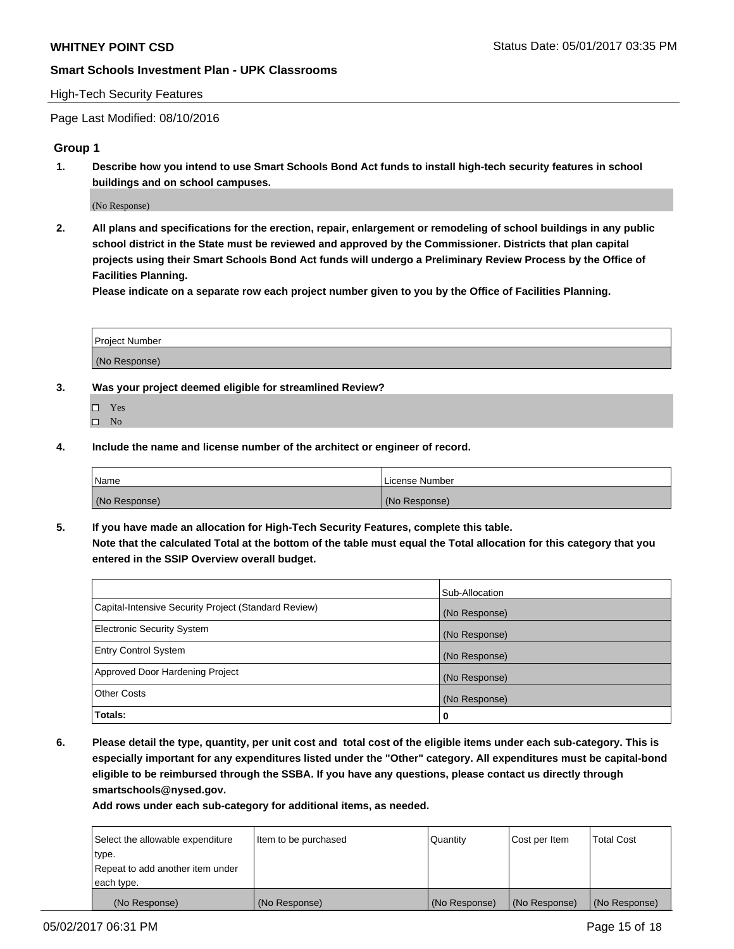#### High-Tech Security Features

Page Last Modified: 08/10/2016

## **Group 1**

**1. Describe how you intend to use Smart Schools Bond Act funds to install high-tech security features in school buildings and on school campuses.**

(No Response)

**2. All plans and specifications for the erection, repair, enlargement or remodeling of school buildings in any public school district in the State must be reviewed and approved by the Commissioner. Districts that plan capital projects using their Smart Schools Bond Act funds will undergo a Preliminary Review Process by the Office of Facilities Planning.** 

**Please indicate on a separate row each project number given to you by the Office of Facilities Planning.**

| Project Number |  |
|----------------|--|
|                |  |
| (No Response)  |  |

- **3. Was your project deemed eligible for streamlined Review?**
	- Yes  $\hfill \square$  No
- **4. Include the name and license number of the architect or engineer of record.**

| Name          | License Number |
|---------------|----------------|
| (No Response) | (No Response)  |

**5. If you have made an allocation for High-Tech Security Features, complete this table. Note that the calculated Total at the bottom of the table must equal the Total allocation for this category that you entered in the SSIP Overview overall budget.**

|                                                      | Sub-Allocation |
|------------------------------------------------------|----------------|
| Capital-Intensive Security Project (Standard Review) | (No Response)  |
| <b>Electronic Security System</b>                    | (No Response)  |
| <b>Entry Control System</b>                          | (No Response)  |
| Approved Door Hardening Project                      | (No Response)  |
| <b>Other Costs</b>                                   | (No Response)  |
| Totals:                                              | 0              |

**6. Please detail the type, quantity, per unit cost and total cost of the eligible items under each sub-category. This is especially important for any expenditures listed under the "Other" category. All expenditures must be capital-bond eligible to be reimbursed through the SSBA. If you have any questions, please contact us directly through smartschools@nysed.gov.**

| (No Response)                    | (No Response)        | (No Response) | (No Response) | (No Response)     |
|----------------------------------|----------------------|---------------|---------------|-------------------|
| each type.                       |                      |               |               |                   |
| Repeat to add another item under |                      |               |               |                   |
| type.                            |                      |               |               |                   |
| Select the allowable expenditure | Item to be purchased | Quantity      | Cost per Item | <b>Total Cost</b> |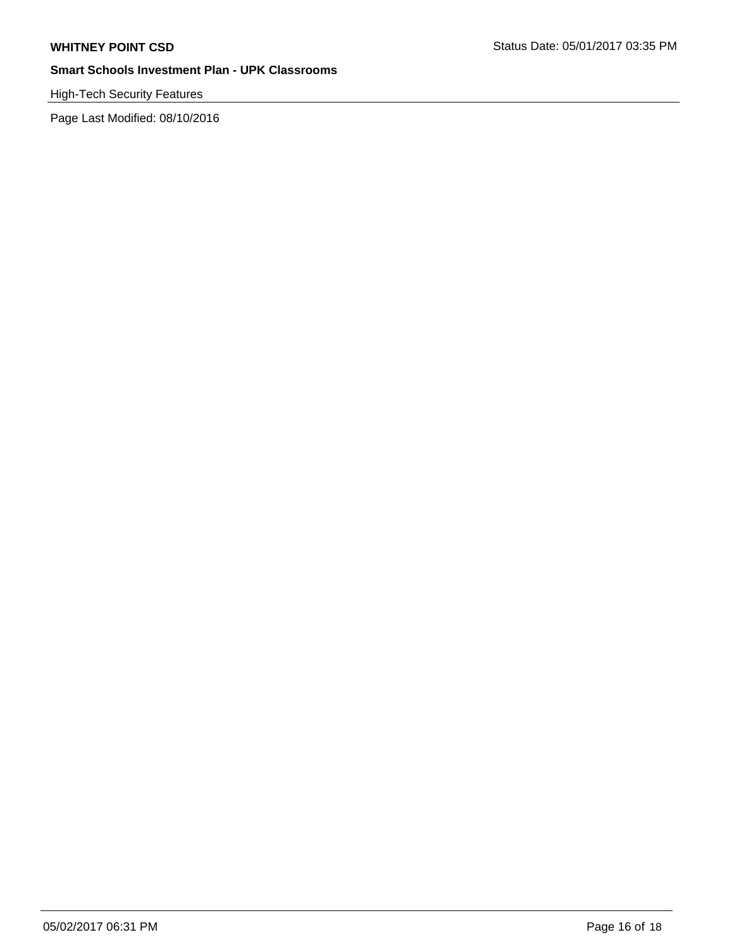# High-Tech Security Features

Page Last Modified: 08/10/2016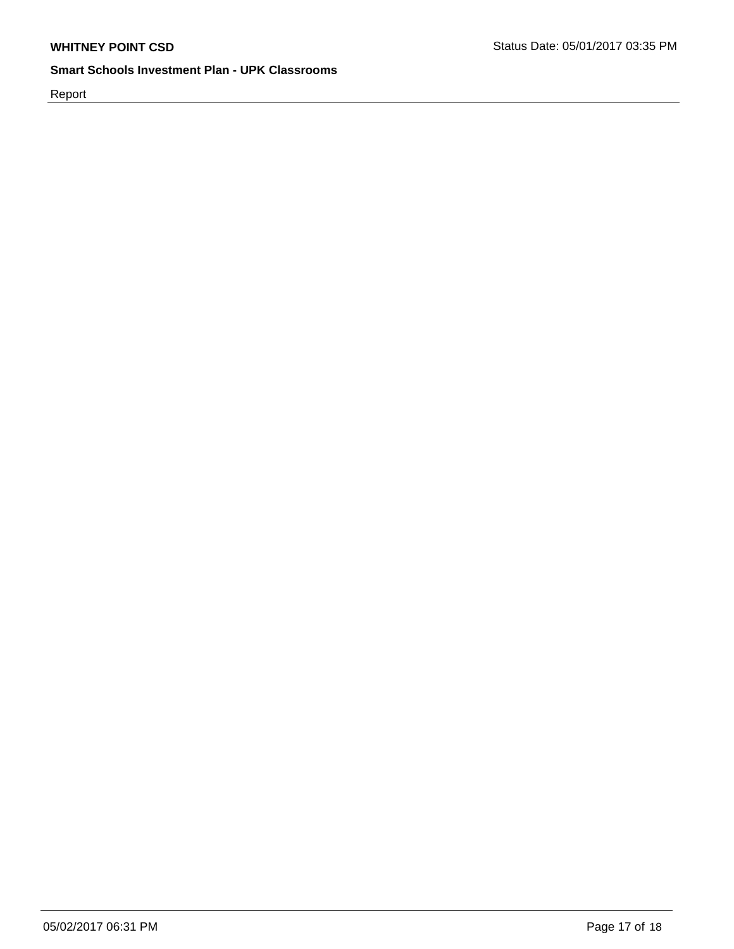Report